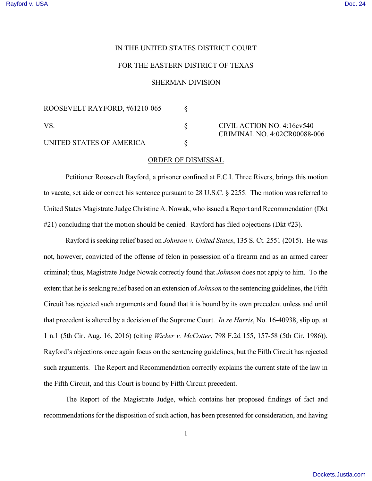## IN THE UNITED STATES DISTRICT COURT

## FOR THE EASTERN DISTRICT OF TEXAS

## SHERMAN DIVISION

| ROOSEVELT RAYFORD, #61210-065 |  |
|-------------------------------|--|
| VS.                           |  |
| UNITED STATES OF AMERICA      |  |

CIVIL ACTION NO. 4:16cv540 CRIMINAL NO. 4:02CR00088-006

## ORDER OF DISMISSAL

Petitioner Roosevelt Rayford, a prisoner confined at F.C.I. Three Rivers, brings this motion to vacate, set aide or correct his sentence pursuant to 28 U.S.C. § 2255. The motion was referred to United States Magistrate Judge Christine A. Nowak, who issued a Report and Recommendation (Dkt #21) concluding that the motion should be denied. Rayford has filed objections (Dkt #23).

Rayford is seeking relief based on *Johnson v. United States*, 135 S. Ct. 2551 (2015). He was not, however, convicted of the offense of felon in possession of a firearm and as an armed career criminal; thus, Magistrate Judge Nowak correctly found that *Johnson* does not apply to him. To the extent that he isseeking relief based on an extension of *Johnson* to the sentencing guidelines, the Fifth Circuit has rejected such arguments and found that it is bound by its own precedent unless and until that precedent is altered by a decision of the Supreme Court. *In re Harris*, No. 16-40938, slip op. at 1 n.1 (5th Cir. Aug. 16, 2016) (citing *Wicker v. McCotter*, 798 F.2d 155, 157-58 (5th Cir. 1986)). Rayford's objections once again focus on the sentencing guidelines, but the Fifth Circuit has rejected such arguments. The Report and Recommendation correctly explains the current state of the law in the Fifth Circuit, and this Court is bound by Fifth Circuit precedent.

The Report of the Magistrate Judge, which contains her proposed findings of fact and recommendations for the disposition of such action, has been presented for consideration, and having